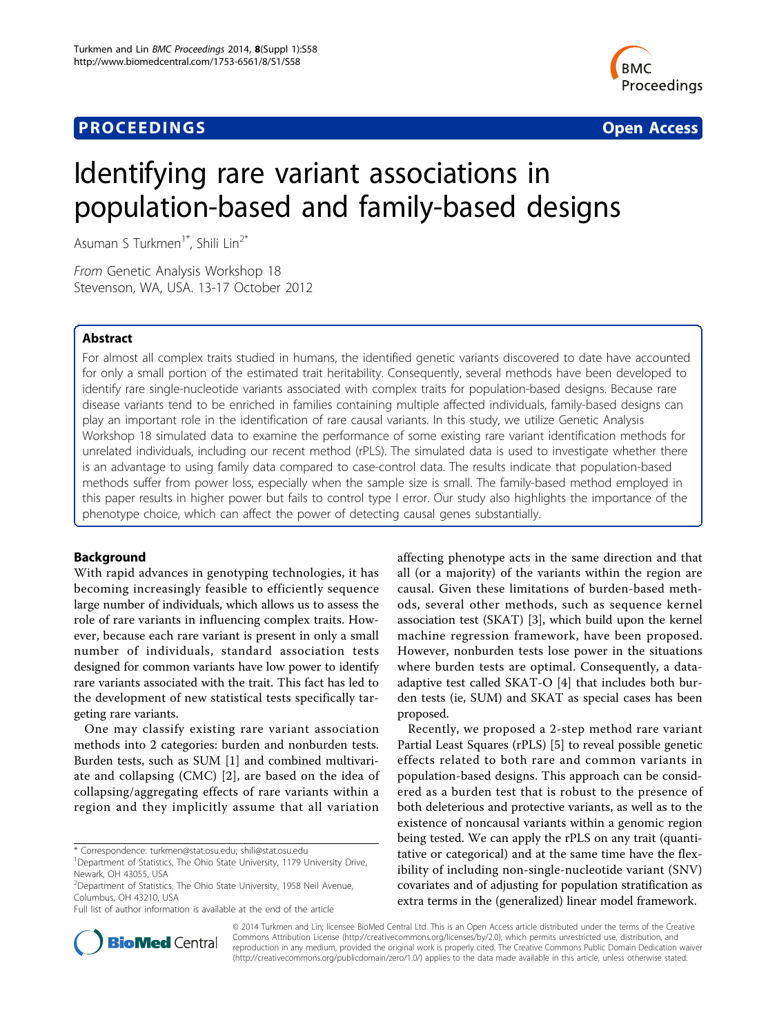# **PROCEEDINGS STATE SERVICE SERVICE SERVICE SERVICE SERVICE SERVICE SERVICE SERVICE SERVICE SERVICE SERVICE SERVICE SERVICE SERVICE SERVICE SERVICE SERVICE SERVICE SERVICE SERVICE SERVICE SERVICE SERVICE SERVICE SERVICE S**



# Identifying rare variant associations in population-based and family-based designs

Asuman S Turkmen<sup>1\*</sup>, Shili Lin<sup>2\*</sup>

From Genetic Analysis Workshop 18 Stevenson, WA, USA. 13-17 October 2012

# Abstract

For almost all complex traits studied in humans, the identified genetic variants discovered to date have accounted for only a small portion of the estimated trait heritability. Consequently, several methods have been developed to identify rare single-nucleotide variants associated with complex traits for population-based designs. Because rare disease variants tend to be enriched in families containing multiple affected individuals, family-based designs can play an important role in the identification of rare causal variants. In this study, we utilize Genetic Analysis Workshop 18 simulated data to examine the performance of some existing rare variant identification methods for unrelated individuals, including our recent method (rPLS). The simulated data is used to investigate whether there is an advantage to using family data compared to case-control data. The results indicate that population-based methods suffer from power loss, especially when the sample size is small. The family-based method employed in this paper results in higher power but fails to control type I error. Our study also highlights the importance of the phenotype choice, which can affect the power of detecting causal genes substantially.

# Background

With rapid advances in genotyping technologies, it has becoming increasingly feasible to efficiently sequence large number of individuals, which allows us to assess the role of rare variants in influencing complex traits. However, because each rare variant is present in only a small number of individuals, standard association tests designed for common variants have low power to identify rare variants associated with the trait. This fact has led to the development of new statistical tests specifically targeting rare variants.

One may classify existing rare variant association methods into 2 categories: burden and nonburden tests. Burden tests, such as SUM [[1\]](#page-3-0) and combined multivariate and collapsing (CMC) [\[2](#page-4-0)], are based on the idea of collapsing/aggregating effects of rare variants within a region and they implicitly assume that all variation

\* Correspondence: [turkmen@stat.osu.edu;](mailto:turkmen@stat.osu.edu) [shili@stat.osu.edu](mailto:shili@stat.osu.edu)

affecting phenotype acts in the same direction and that all (or a majority) of the variants within the region are causal. Given these limitations of burden-based methods, several other methods, such as sequence kernel association test (SKAT) [[3\]](#page-4-0), which build upon the kernel machine regression framework, have been proposed. However, nonburden tests lose power in the situations where burden tests are optimal. Consequently, a dataadaptive test called SKAT-O [\[4](#page-4-0)] that includes both burden tests (ie, SUM) and SKAT as special cases has been proposed.

Recently, we proposed a 2-step method rare variant Partial Least Squares (rPLS) [[5\]](#page-4-0) to reveal possible genetic effects related to both rare and common variants in population-based designs. This approach can be considered as a burden test that is robust to the presence of both deleterious and protective variants, as well as to the existence of noncausal variants within a genomic region being tested. We can apply the rPLS on any trait (quantitative or categorical) and at the same time have the flexibility of including non-single-nucleotide variant (SNV) covariates and of adjusting for population stratification as extra terms in the (generalized) linear model framework.



© 2014 Turkmen and Lin; licensee BioMed Central Ltd. This is an Open Access article distributed under the terms of the Creative Commons Attribution License [\(http://creativecommons.org/licenses/by/2.0](http://creativecommons.org/licenses/by/2.0)), which permits unrestricted use, distribution, and reproduction in any medium, provided the original work is properly cited. The Creative Commons Public Domain Dedication waiver [\(http://creativecommons.org/publicdomain/zero/1.0/](http://creativecommons.org/publicdomain/zero/1.0/)) applies to the data made available in this article, unless otherwise stated.

<sup>&</sup>lt;sup>1</sup>Department of Statistics, The Ohio State University, 1179 University Drive, Newark, OH 43055, USA

<sup>&</sup>lt;sup>2</sup>Department of Statistics, The Ohio State University, 1958 Neil Avenue, Columbus, OH 43210, USA

Full list of author information is available at the end of the article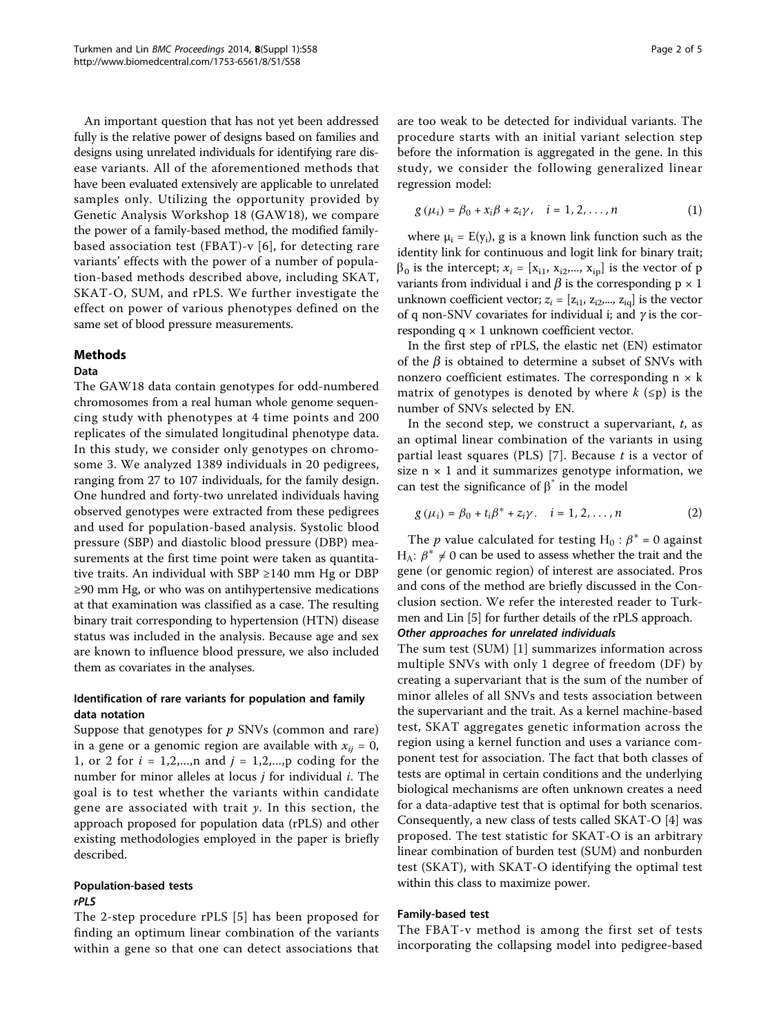An important question that has not yet been addressed fully is the relative power of designs based on families and designs using unrelated individuals for identifying rare disease variants. All of the aforementioned methods that have been evaluated extensively are applicable to unrelated samples only. Utilizing the opportunity provided by Genetic Analysis Workshop 18 (GAW18), we compare the power of a family-based method, the modified familybased association test (FBAT)-v [[6](#page-4-0)], for detecting rare variants' effects with the power of a number of population-based methods described above, including SKAT, SKAT-O, SUM, and rPLS. We further investigate the effect on power of various phenotypes defined on the same set of blood pressure measurements.

#### Methods

#### Data

The GAW18 data contain genotypes for odd-numbered chromosomes from a real human whole genome sequencing study with phenotypes at 4 time points and 200 replicates of the simulated longitudinal phenotype data. In this study, we consider only genotypes on chromosome 3. We analyzed 1389 individuals in 20 pedigrees, ranging from 27 to 107 individuals, for the family design. One hundred and forty-two unrelated individuals having observed genotypes were extracted from these pedigrees and used for population-based analysis. Systolic blood pressure (SBP) and diastolic blood pressure (DBP) measurements at the first time point were taken as quantitative traits. An individual with SBP ≥140 mm Hg or DBP ≥90 mm Hg, or who was on antihypertensive medications at that examination was classified as a case. The resulting binary trait corresponding to hypertension (HTN) disease status was included in the analysis. Because age and sex are known to influence blood pressure, we also included them as covariates in the analyses.

# Identification of rare variants for population and family data notation

Suppose that genotypes for  $p$  SNVs (common and rare) in a gene or a genomic region are available with  $x_{ij} = 0$ , 1, or 2 for  $i = 1, 2, ..., n$  and  $j = 1, 2, ..., p$  coding for the number for minor alleles at locus  $j$  for individual  $i$ . The goal is to test whether the variants within candidate gene are associated with trait  $y$ . In this section, the approach proposed for population data (rPLS) and other existing methodologies employed in the paper is briefly described.

## Population-based tests rPLS

The 2-step procedure rPLS [[5\]](#page-4-0) has been proposed for finding an optimum linear combination of the variants within a gene so that one can detect associations that are too weak to be detected for individual variants. The procedure starts with an initial variant selection step before the information is aggregated in the gene. In this study, we consider the following generalized linear regression model:

$$
g(\mu_i) = \beta_0 + x_i \beta + z_i \gamma, \quad i = 1, 2, \dots, n
$$
 (1)

where  $\mu_i = E(y_i)$ , g is a known link function such as the identity link for continuous and logit link for binary trait;  $\beta_0$  is the intercept;  $x_i = [x_{i1}, x_{i2},..., x_{ip}]$  is the vector of p variants from individual i and  $\beta$  is the corresponding p  $\times$  1 unknown coefficient vector;  $z_i = [z_{i1}, z_{i2},..., z_{iq}]$  is the vector of q non-SNV covariates for individual i; and  $\gamma$  is the corresponding  $q \times 1$  unknown coefficient vector.

In the first step of rPLS, the elastic net (EN) estimator of the  $\beta$  is obtained to determine a subset of SNVs with nonzero coefficient estimates. The corresponding  $n \times k$ matrix of genotypes is denoted by where  $k \leq p$  is the number of SNVs selected by EN.

In the second step, we construct a supervariant,  $t$ , as an optimal linear combination of the variants in using partial least squares (PLS) [[7\]](#page-4-0). Because  $t$  is a vector of size  $n \times 1$  and it summarizes genotype information, we can test the significance of  $\beta^*$  in the model

$$
g(\mu_i) = \beta_0 + t_i \beta^* + z_i \gamma, \quad i = 1, 2, ..., n
$$
 (2)

The *p* value calculated for testing H<sub>0</sub> :  $\beta^* = 0$  against H<sub>A</sub>:  $β^* ≠ 0$  can be used to assess whether the trait and the gene (or genomic region) of interest are associated. Pros and cons of the method are briefly discussed in the Conclusion section. We refer the interested reader to Turkmen and Lin [\[5](#page-4-0)] for further details of the rPLS approach.

#### Other approaches for unrelated individuals

The sum test (SUM) [[1\]](#page-3-0) summarizes information across multiple SNVs with only 1 degree of freedom (DF) by creating a supervariant that is the sum of the number of minor alleles of all SNVs and tests association between the supervariant and the trait. As a kernel machine-based test, SKAT aggregates genetic information across the region using a kernel function and uses a variance component test for association. The fact that both classes of tests are optimal in certain conditions and the underlying biological mechanisms are often unknown creates a need for a data-adaptive test that is optimal for both scenarios. Consequently, a new class of tests called SKAT-O [[4\]](#page-4-0) was proposed. The test statistic for SKAT-O is an arbitrary linear combination of burden test (SUM) and nonburden test (SKAT), with SKAT-O identifying the optimal test within this class to maximize power.

#### Family-based test

The FBAT-v method is among the first set of tests incorporating the collapsing model into pedigree-based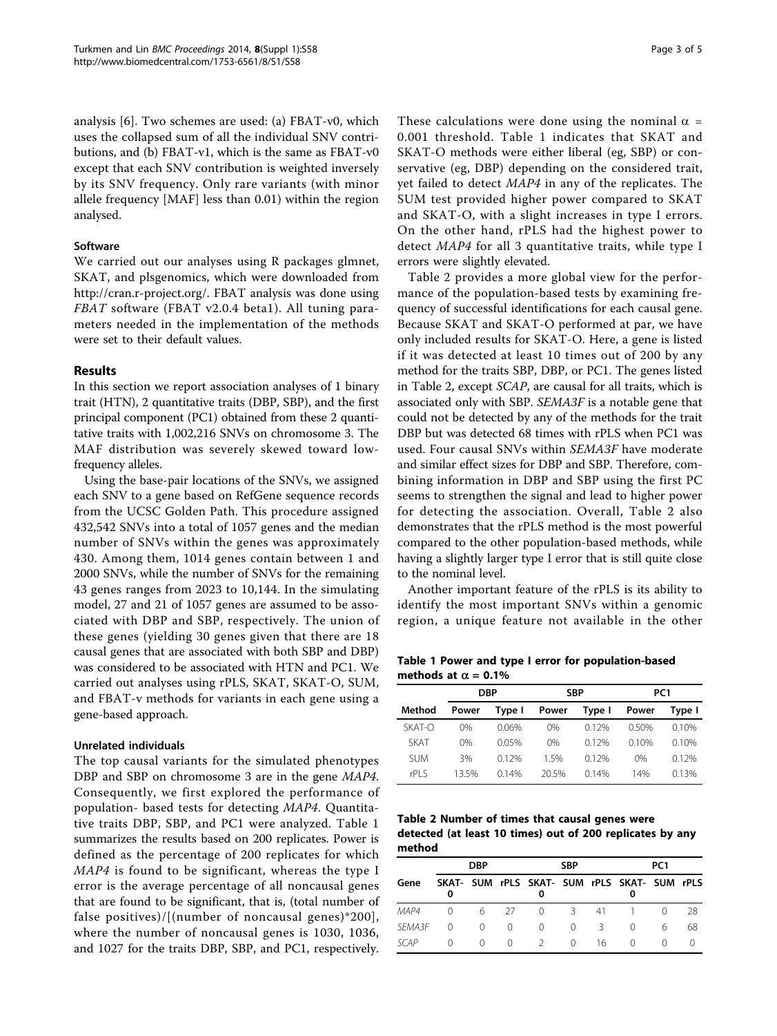analysis [[6](#page-4-0)]. Two schemes are used: (a) FBAT-v0, which uses the collapsed sum of all the individual SNV contributions, and (b) FBAT-v1, which is the same as FBAT-v0 except that each SNV contribution is weighted inversely by its SNV frequency. Only rare variants (with minor allele frequency [MAF] less than 0.01) within the region analysed.

## Software

We carried out our analyses using R packages glmnet, SKAT, and plsgenomics, which were downloaded from <http://cran.r-project.org/.> FBAT analysis was done using FBAT software (FBAT v2.0.4 beta1). All tuning parameters needed in the implementation of the methods were set to their default values.

# Results

In this section we report association analyses of 1 binary trait (HTN), 2 quantitative traits (DBP, SBP), and the first principal component (PC1) obtained from these 2 quantitative traits with 1,002,216 SNVs on chromosome 3. The MAF distribution was severely skewed toward lowfrequency alleles.

Using the base-pair locations of the SNVs, we assigned each SNV to a gene based on RefGene sequence records from the UCSC Golden Path. This procedure assigned 432,542 SNVs into a total of 1057 genes and the median number of SNVs within the genes was approximately 430. Among them, 1014 genes contain between 1 and 2000 SNVs, while the number of SNVs for the remaining 43 genes ranges from 2023 to 10,144. In the simulating model, 27 and 21 of 1057 genes are assumed to be associated with DBP and SBP, respectively. The union of these genes (yielding 30 genes given that there are 18 causal genes that are associated with both SBP and DBP) was considered to be associated with HTN and PC1. We carried out analyses using rPLS, SKAT, SKAT-O, SUM, and FBAT-v methods for variants in each gene using a gene-based approach.

#### Unrelated individuals

The top causal variants for the simulated phenotypes DBP and SBP on chromosome 3 are in the gene MAP4. Consequently, we first explored the performance of population- based tests for detecting MAP4. Quantitative traits DBP, SBP, and PC1 were analyzed. Table 1 summarizes the results based on 200 replicates. Power is defined as the percentage of 200 replicates for which MAP4 is found to be significant, whereas the type I error is the average percentage of all noncausal genes that are found to be significant, that is, (total number of false positives)/[(number of noncausal genes)\*200], where the number of noncausal genes is 1030, 1036, and 1027 for the traits DBP, SBP, and PC1, respectively.

These calculations were done using the nominal  $\alpha$  = 0.001 threshold. Table 1 indicates that SKAT and SKAT-O methods were either liberal (eg, SBP) or conservative (eg, DBP) depending on the considered trait, yet failed to detect MAP4 in any of the replicates. The SUM test provided higher power compared to SKAT and SKAT-O, with a slight increases in type I errors. On the other hand, rPLS had the highest power to detect MAP4 for all 3 quantitative traits, while type I errors were slightly elevated.

Table 2 provides a more global view for the performance of the population-based tests by examining frequency of successful identifications for each causal gene. Because SKAT and SKAT-O performed at par, we have only included results for SKAT-O. Here, a gene is listed if it was detected at least 10 times out of 200 by any method for the traits SBP, DBP, or PC1. The genes listed in Table 2, except SCAP, are causal for all traits, which is associated only with SBP. SEMA3F is a notable gene that could not be detected by any of the methods for the trait DBP but was detected 68 times with rPLS when PC1 was used. Four causal SNVs within SEMA3F have moderate and similar effect sizes for DBP and SBP. Therefore, combining information in DBP and SBP using the first PC seems to strengthen the signal and lead to higher power for detecting the association. Overall, Table 2 also demonstrates that the rPLS method is the most powerful compared to the other population-based methods, while having a slightly larger type I error that is still quite close to the nominal level.

Another important feature of the rPLS is its ability to identify the most important SNVs within a genomic region, a unique feature not available in the other

Table 1 Power and type I error for population-based methods at  $\alpha = 0.1\%$ 

|             | <b>DBP</b> |        |       | <b>SBP</b> | PC1   |        |  |
|-------------|------------|--------|-------|------------|-------|--------|--|
| Method      | Power      | Type I | Power | Type I     | Power | Type I |  |
| SKAT-O      | $0\%$      | 0.06%  | 0%    | 0.12%      | 0.50% | 0.10%  |  |
| <b>SKAT</b> | $0\%$      | 0.05%  | 0%    | 012%       | 0.10% | 0.10%  |  |
| <b>SUM</b>  | 3%         | 012%   | 15%   | 0.12%      | 0%    | 0.12%  |  |
| rPIS        | 135%       | 0.14%  | 20.5% | 0.14%      | 14%   | 0.13%  |  |

Table 2 Number of times that causal genes were detected (at least 10 times) out of 200 replicates by any method

|        | <b>DBP</b>     |            |          | <b>SBP</b>     |                |          | PC <sub>1</sub>                              |   |     |
|--------|----------------|------------|----------|----------------|----------------|----------|----------------------------------------------|---|-----|
| Gene   | Ω              |            |          |                |                |          | SKAT- SUM rPLS SKAT- SUM rPLS SKAT- SUM rPLS |   |     |
| MAP4   | $\Omega$       |            |          | 6 27 0 3 41    |                |          |                                              |   | -28 |
| SFMA3F | $\overline{0}$ | $\bigcirc$ | $\Omega$ | $\overline{0}$ | $\overline{0}$ | $\sim$ 3 | $\Omega$                                     | 6 | 68  |
| SCAP   | ∩              | $\Omega$   | $\Omega$ | $\overline{2}$ | $\Omega$       | -16      | - 0                                          |   |     |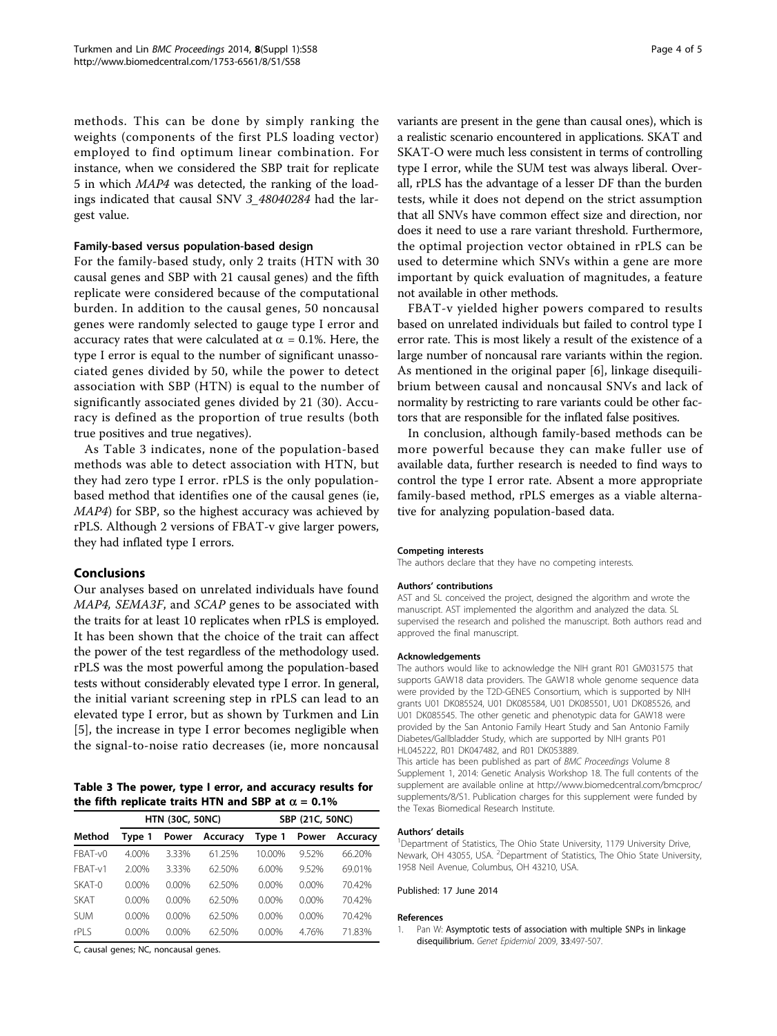<span id="page-3-0"></span>methods. This can be done by simply ranking the weights (components of the first PLS loading vector) employed to find optimum linear combination. For instance, when we considered the SBP trait for replicate 5 in which MAP4 was detected, the ranking of the loadings indicated that causal SNV 3\_48040284 had the largest value.

## Family-based versus population-based design

For the family-based study, only 2 traits (HTN with 30 causal genes and SBP with 21 causal genes) and the fifth replicate were considered because of the computational burden. In addition to the causal genes, 50 noncausal genes were randomly selected to gauge type I error and accuracy rates that were calculated at  $\alpha = 0.1$ %. Here, the type I error is equal to the number of significant unassociated genes divided by 50, while the power to detect association with SBP (HTN) is equal to the number of significantly associated genes divided by 21 (30). Accuracy is defined as the proportion of true results (both true positives and true negatives).

As Table 3 indicates, none of the population-based methods was able to detect association with HTN, but they had zero type I error. rPLS is the only populationbased method that identifies one of the causal genes (ie, MAP4) for SBP, so the highest accuracy was achieved by rPLS. Although 2 versions of FBAT-v give larger powers, they had inflated type I errors.

# Conclusions

Our analyses based on unrelated individuals have found MAP4, SEMA3F, and SCAP genes to be associated with the traits for at least 10 replicates when rPLS is employed. It has been shown that the choice of the trait can affect the power of the test regardless of the methodology used. rPLS was the most powerful among the population-based tests without considerably elevated type I error. In general, the initial variant screening step in rPLS can lead to an elevated type I error, but as shown by Turkmen and Lin [[5\]](#page-4-0), the increase in type I error becomes negligible when the signal-to-noise ratio decreases (ie, more noncausal

Table 3 The power, type I error, and accuracy results for the fifth replicate traits HTN and SBP at  $\alpha = 0.1\%$ 

|             | <b>HTN (30C, 50NC)</b> |          |          | SBP (21C, 50NC) |          |          |  |
|-------------|------------------------|----------|----------|-----------------|----------|----------|--|
| Method      | Type 1                 | Power    | Accuracy | Type 1          | Power    | Accuracy |  |
| FBAT-v0     | 4.00%                  | 3.33%    | 61.25%   | 10.00%          | 9.52%    | 66.20%   |  |
| FRAT-v1     | 2.00%                  | 3.33%    | 62.50%   | 6.00%           | 9.52%    | 69.01%   |  |
| SKAT-0      | $0.00\%$               | 0.00%    | 62.50%   | $0.00\%$        | $0.00\%$ | 70.42%   |  |
| <b>SKAT</b> | $0.00\%$               | $0.00\%$ | 62.50%   | $0.00\%$        | $0.00\%$ | 70.42%   |  |
| <b>SUM</b>  | $0.00\%$               | $0.00\%$ | 62.50%   | $0.00\%$        | $0.00\%$ | 70.42%   |  |
| rPI S       | $0.00\%$               | $0.00\%$ | 62.50%   | $0.00\%$        | 4.76%    | 71.83%   |  |

C, causal genes; NC, noncausal genes.

variants are present in the gene than causal ones), which is a realistic scenario encountered in applications. SKAT and SKAT-O were much less consistent in terms of controlling type I error, while the SUM test was always liberal. Overall, rPLS has the advantage of a lesser DF than the burden tests, while it does not depend on the strict assumption that all SNVs have common effect size and direction, nor does it need to use a rare variant threshold. Furthermore, the optimal projection vector obtained in rPLS can be used to determine which SNVs within a gene are more important by quick evaluation of magnitudes, a feature not available in other methods.

FBAT-v yielded higher powers compared to results based on unrelated individuals but failed to control type I error rate. This is most likely a result of the existence of a large number of noncausal rare variants within the region. As mentioned in the original paper [\[6](#page-4-0)], linkage disequilibrium between causal and noncausal SNVs and lack of normality by restricting to rare variants could be other factors that are responsible for the inflated false positives.

In conclusion, although family-based methods can be more powerful because they can make fuller use of available data, further research is needed to find ways to control the type I error rate. Absent a more appropriate family-based method, rPLS emerges as a viable alternative for analyzing population-based data.

#### Competing interests

The authors declare that they have no competing interests.

#### Authors' contributions

AST and SL conceived the project, designed the algorithm and wrote the manuscript. AST implemented the algorithm and analyzed the data. SL supervised the research and polished the manuscript. Both authors read and approved the final manuscript.

#### Acknowledgements

The authors would like to acknowledge the NIH grant R01 GM031575 that supports GAW18 data providers. The GAW18 whole genome sequence data were provided by the T2D-GENES Consortium, which is supported by NIH grants U01 DK085524, U01 DK085584, U01 DK085501, U01 DK085526, and U01 DK085545. The other genetic and phenotypic data for GAW18 were provided by the San Antonio Family Heart Study and San Antonio Family Diabetes/Gallbladder Study, which are supported by NIH grants P01 HL045222, R01 DK047482, and R01 DK053889.

This article has been published as part of BMC Proceedings Volume 8 Supplement 1, 2014: Genetic Analysis Workshop 18. The full contents of the supplement are available online at [http://www.biomedcentral.com/bmcproc/](http://www.biomedcentral.com/bmcproc/supplements/8/S1) [supplements/8/S1.](http://www.biomedcentral.com/bmcproc/supplements/8/S1) Publication charges for this supplement were funded by the Texas Biomedical Research Institute.

#### Authors' details <sup>1</sup>

<sup>1</sup>Department of Statistics, The Ohio State University, 1179 University Drive, Newark, OH 43055, USA. <sup>2</sup> Department of Statistics, The Ohio State University 1958 Neil Avenue, Columbus, OH 43210, USA.

#### Published: 17 June 2014

#### References

1. Pan W: [Asymptotic tests of association with multiple SNPs in linkage](http://www.ncbi.nlm.nih.gov/pubmed/19170135?dopt=Abstract) [disequilibrium.](http://www.ncbi.nlm.nih.gov/pubmed/19170135?dopt=Abstract) Genet Epidemiol 2009, 33:497-507.